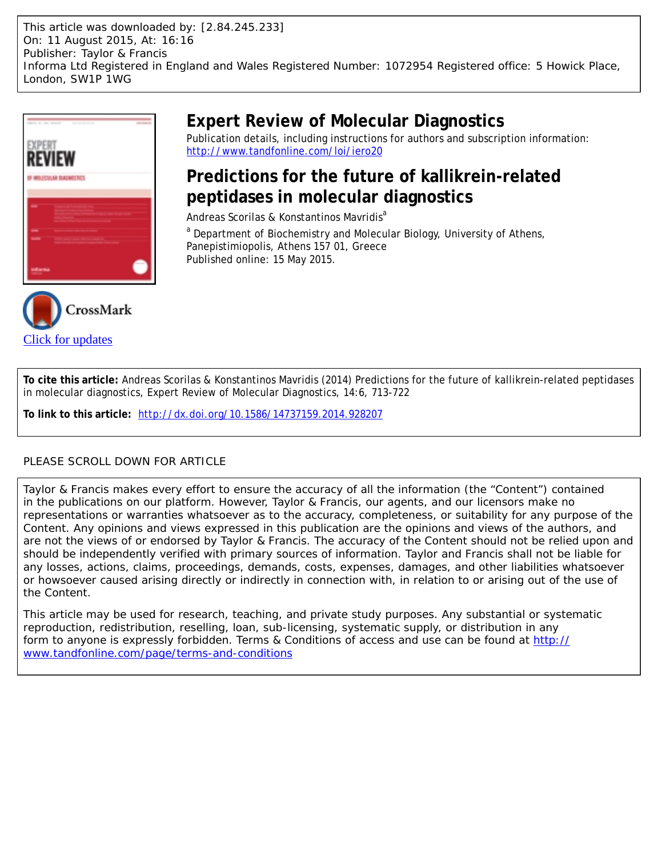This article was downloaded by: [2.84.245.233] On: 11 August 2015, At: 16:16 Publisher: Taylor & Francis Informa Ltd Registered in England and Wales Registered Number: 1072954 Registered office: 5 Howick Place, London, SW1P 1WG





# **Expert Review of Molecular Diagnostics**

Publication details, including instructions for authors and subscription information: <http://www.tandfonline.com/loi/iero20>

# **Predictions for the future of kallikrein-related peptidases in molecular diagnostics**

Andreas Scorilas & Konstantinos Mavridis<sup>a</sup>

<sup>a</sup> Department of Biochemistry and Molecular Biology, University of Athens, Panepistimiopolis, Athens 157 01, Greece Published online: 15 May 2015.

**To cite this article:** Andreas Scorilas & Konstantinos Mavridis (2014) Predictions for the future of kallikrein-related peptidases in molecular diagnostics, Expert Review of Molecular Diagnostics, 14:6, 713-722

**To link to this article:** <http://dx.doi.org/10.1586/14737159.2014.928207>

# PLEASE SCROLL DOWN FOR ARTICLE

Taylor & Francis makes every effort to ensure the accuracy of all the information (the "Content") contained in the publications on our platform. However, Taylor & Francis, our agents, and our licensors make no representations or warranties whatsoever as to the accuracy, completeness, or suitability for any purpose of the Content. Any opinions and views expressed in this publication are the opinions and views of the authors, and are not the views of or endorsed by Taylor & Francis. The accuracy of the Content should not be relied upon and should be independently verified with primary sources of information. Taylor and Francis shall not be liable for any losses, actions, claims, proceedings, demands, costs, expenses, damages, and other liabilities whatsoever or howsoever caused arising directly or indirectly in connection with, in relation to or arising out of the use of the Content.

This article may be used for research, teaching, and private study purposes. Any substantial or systematic reproduction, redistribution, reselling, loan, sub-licensing, systematic supply, or distribution in any form to anyone is expressly forbidden. Terms & Conditions of access and use can be found at [http://](http://www.tandfonline.com/page/terms-and-conditions) [www.tandfonline.com/page/terms-and-conditions](http://www.tandfonline.com/page/terms-and-conditions)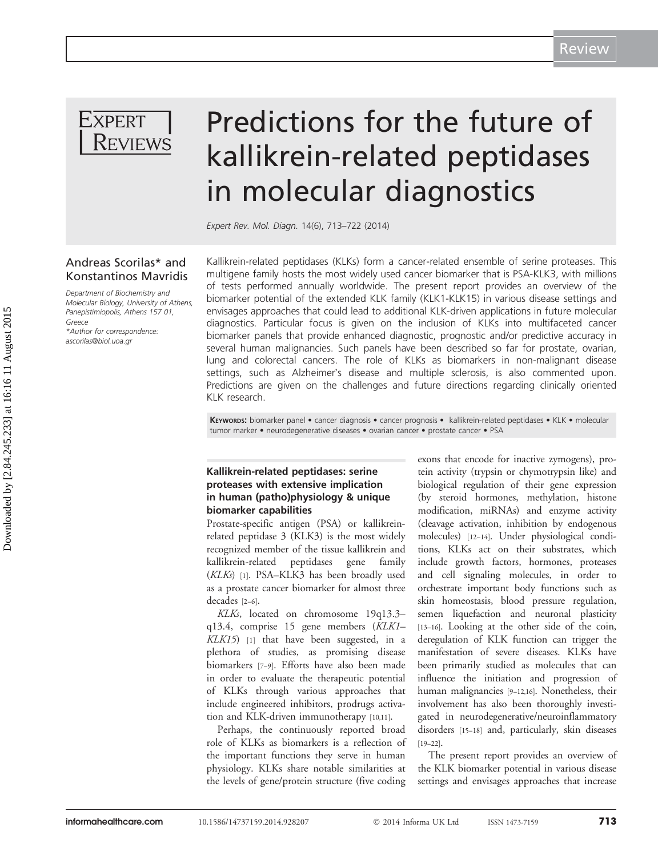

# Predictions for the future of kallikrein-related peptidases in molecular diagnostics

Expert Rev. Mol. Diagn. 14(6), 713–722 (2014)

## Andreas Scorilas\* and Konstantinos Mavridis

Department of Biochemistry and Molecular Biology, University of Athens, Panepistimiopolis, Athens 157 01, Greece \*Author for correspondence: [ascorilas@biol.uoa.gr](mailto:ascorilas@biol.uoa.gr)

Kallikrein-related peptidases (KLKs) form a cancer-related ensemble of serine proteases. This multigene family hosts the most widely used cancer biomarker that is PSA-KLK3, with millions of tests performed annually worldwide. The present report provides an overview of the biomarker potential of the extended KLK family (KLK1-KLK15) in various disease settings and envisages approaches that could lead to additional KLK-driven applications in future molecular diagnostics. Particular focus is given on the inclusion of KLKs into multifaceted cancer biomarker panels that provide enhanced diagnostic, prognostic and/or predictive accuracy in several human malignancies. Such panels have been described so far for prostate, ovarian, lung and colorectal cancers. The role of KLKs as biomarkers in non-malignant disease settings, such as Alzheimer's disease and multiple sclerosis, is also commented upon. Predictions are given on the challenges and future directions regarding clinically oriented KLK research.

KEYWORDS: biomarker panel • cancer diagnosis • cancer prognosis • kallikrein-related peptidases • KLK • molecular tumor marker • neurodegenerative diseases • ovarian cancer • prostate cancer • PSA

### Kallikrein-related peptidases: serine proteases with extensive implication in human (patho)physiology & unique biomarker capabilities

Prostate-specific antigen (PSA) or kallikreinrelated peptidase 3 (KLK3) is the most widely recognized member of the tissue kallikrein and kallikrein-related peptidases gene family  $(KLKs)$  [[1\]](#page-7-0). PSA–KLK3 has been broadly used as a prostate cancer biomarker for almost three decades [[2](#page-7-0)–[6](#page-7-0)].

KLKs, located on chromosome 19q13.3– q13.4, comprise 15 gene members (KLK1–  $KLK15$  $KLK15$  $KLK15$ ) [1] that have been suggested, in a plethora of studies, as promising disease biomarkers [[7](#page-7-0)–[9](#page-7-0)]. Efforts have also been made in order to evaluate the therapeutic potential of KLKs through various approaches that include engineered inhibitors, prodrugs activation and KLK-driven immunotherapy [[10](#page-7-0),[11](#page-7-0)].

Perhaps, the continuously reported broad role of KLKs as biomarkers is a reflection of the important functions they serve in human physiology. KLKs share notable similarities at the levels of gene/protein structure (five coding

exons that encode for inactive zymogens), protein activity (trypsin or chymotrypsin like) and biological regulation of their gene expression (by steroid hormones, methylation, histone modification, miRNAs) and enzyme activity (cleavage activation, inhibition by endogenous molecules) [\[12](#page-7-0)–[14\]](#page-7-0). Under physiological conditions, KLKs act on their substrates, which include growth factors, hormones, proteases and cell signaling molecules, in order to orchestrate important body functions such as skin homeostasis, blood pressure regulation, semen liquefaction and neuronal plasticity [\[13](#page-7-0)–[16\]](#page-7-0). Looking at the other side of the coin, deregulation of KLK function can trigger the manifestation of severe diseases. KLKs have been primarily studied as molecules that can influence the initiation and progression of human malignancies [\[9](#page-7-0)–[12,16](#page-7-0)]. Nonetheless, their involvement has also been thoroughly investigated in neurodegenerative/neuroinflammatory disorders [[15](#page-7-0)–[18](#page-8-0)] and, particularly, skin diseases [\[19](#page-8-0)–[22\]](#page-8-0).

The present report provides an overview of the KLK biomarker potential in various disease settings and envisages approaches that increase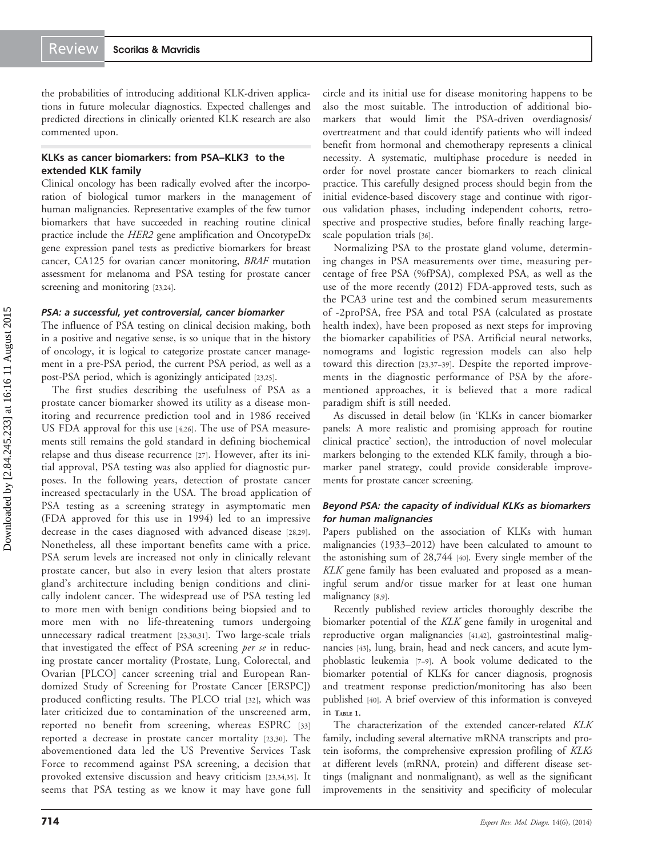the probabilities of introducing additional KLK-driven applications in future molecular diagnostics. Expected challenges and predicted directions in clinically oriented KLK research are also commented upon.

## KLKs as cancer biomarkers: from PSA–KLK3 to the extended KLK family

Clinical oncology has been radically evolved after the incorporation of biological tumor markers in the management of human malignancies. Representative examples of the few tumor biomarkers that have succeeded in reaching routine clinical practice include the HER2 gene amplification and OncotypeDx gene expression panel tests as predictive biomarkers for breast cancer, CA125 for ovarian cancer monitoring, BRAF mutation assessment for melanoma and PSA testing for prostate cancer screening and monitoring [[23](#page-8-0),[24](#page-8-0)].

#### PSA: a successful, yet controversial, cancer biomarker

The influence of PSA testing on clinical decision making, both in a positive and negative sense, is so unique that in the history of oncology, it is logical to categorize prostate cancer management in a pre-PSA period, the current PSA period, as well as a post-PSA period, which is agonizingly anticipated [[23](#page-8-0),[25](#page-8-0)].

The first studies describing the usefulness of PSA as a prostate cancer biomarker showed its utility as a disease monitoring and recurrence prediction tool and in 1986 received US FDA approval for this use [\[4](#page-7-0)[,26](#page-8-0)]. The use of PSA measurements still remains the gold standard in defining biochemical relapse and thus disease recurrence [\[27](#page-8-0)]. However, after its initial approval, PSA testing was also applied for diagnostic purposes. In the following years, detection of prostate cancer increased spectacularly in the USA. The broad application of PSA testing as a screening strategy in asymptomatic men (FDA approved for this use in 1994) led to an impressive decrease in the cases diagnosed with advanced disease [[28](#page-8-0),[29\]](#page-8-0). Nonetheless, all these important benefits came with a price. PSA serum levels are increased not only in clinically relevant prostate cancer, but also in every lesion that alters prostate gland's architecture including benign conditions and clinically indolent cancer. The widespread use of PSA testing led to more men with benign conditions being biopsied and to more men with no life-threatening tumors undergoing unnecessary radical treatment [[23](#page-8-0),[30,31](#page-8-0)]. Two large-scale trials that investigated the effect of PSA screening per se in reducing prostate cancer mortality (Prostate, Lung, Colorectal, and Ovarian [PLCO] cancer screening trial and European Randomized Study of Screening for Prostate Cancer [ERSPC]) produced conflicting results. The PLCO trial [[32\]](#page-8-0), which was later criticized due to contamination of the unscreened arm, reported no benefit from screening, whereas ESPRC [\[33](#page-8-0)] reported a decrease in prostate cancer mortality [[23,30\]](#page-8-0). The abovementioned data led the US Preventive Services Task Force to recommend against PSA screening, a decision that provoked extensive discussion and heavy criticism [[23](#page-8-0),[34,35](#page-8-0)]. It seems that PSA testing as we know it may have gone full circle and its initial use for disease monitoring happens to be also the most suitable. The introduction of additional biomarkers that would limit the PSA-driven overdiagnosis/ overtreatment and that could identify patients who will indeed benefit from hormonal and chemotherapy represents a clinical necessity. A systematic, multiphase procedure is needed in order for novel prostate cancer biomarkers to reach clinical practice. This carefully designed process should begin from the initial evidence-based discovery stage and continue with rigorous validation phases, including independent cohorts, retrospective and prospective studies, before finally reaching largescale population trials [\[36\]](#page-8-0).

Normalizing PSA to the prostate gland volume, determining changes in PSA measurements over time, measuring percentage of free PSA (%fPSA), complexed PSA, as well as the use of the more recently (2012) FDA-approved tests, such as the PCA3 urine test and the combined serum measurements of -2proPSA, free PSA and total PSA (calculated as prostate health index), have been proposed as next steps for improving the biomarker capabilities of PSA. Artificial neural networks, nomograms and logistic regression models can also help toward this direction [\[23](#page-8-0),[37](#page-8-0)–[39](#page-8-0)]. Despite the reported improvements in the diagnostic performance of PSA by the aforementioned approaches, it is believed that a more radical paradigm shift is still needed.

As discussed in detail below (in 'KLKs in cancer biomarker panels: A more realistic and promising approach for routine clinical practice' section), the introduction of novel molecular markers belonging to the extended KLK family, through a biomarker panel strategy, could provide considerable improvements for prostate cancer screening.

#### Beyond PSA: the capacity of individual KLKs as biomarkers for human malignancies

Papers published on the association of KLKs with human malignancies (1933–2012) have been calculated to amount to the astonishing sum of 28,744 [[40\]](#page-8-0). Every single member of the KLK gene family has been evaluated and proposed as a meaningful serum and/or tissue marker for at least one human malignancy [\[8,9](#page-7-0)].

Recently published review articles thoroughly describe the biomarker potential of the KLK gene family in urogenital and reproductive organ malignancies [\[41,42\]](#page-8-0), gastrointestinal malignancies [[43](#page-8-0)], lung, brain, head and neck cancers, and acute lymphoblastic leukemia [[7](#page-7-0)–[9](#page-7-0)]. A book volume dedicated to the biomarker potential of KLKs for cancer diagnosis, prognosis and treatment response prediction/monitoring has also been published [\[40\]](#page-8-0). A brief overview of this information is conveyed in [TABLE](#page-3-0) <sup>1</sup>.

The characterization of the extended cancer-related KLK family, including several alternative mRNA transcripts and protein isoforms, the comprehensive expression profiling of KLKs at different levels (mRNA, protein) and different disease settings (malignant and nonmalignant), as well as the significant improvements in the sensitivity and specificity of molecular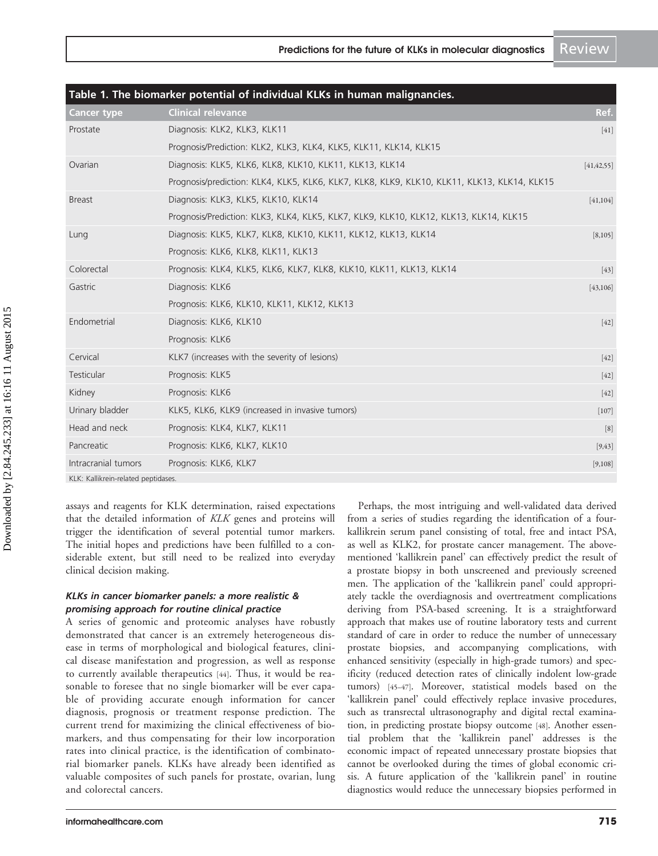<span id="page-3-0"></span>

| Table 1. The biomarker potential of individual KLKs in human malignancies. |                                                                                             |              |
|----------------------------------------------------------------------------|---------------------------------------------------------------------------------------------|--------------|
| <b>Cancer type</b>                                                         | <b>Clinical relevance</b>                                                                   | Ref.         |
| Prostate                                                                   | Diagnosis: KLK2, KLK3, KLK11                                                                | $[41]$       |
|                                                                            | Prognosis/Prediction: KLK2, KLK3, KLK4, KLK5, KLK11, KLK14, KLK15                           |              |
| Ovarian                                                                    | Diagnosis: KLK5, KLK6, KLK8, KLK10, KLK11, KLK13, KLK14                                     | [41, 42, 55] |
|                                                                            | Prognosis/prediction: KLK4, KLK5, KLK6, KLK7, KLK8, KLK9, KLK10, KLK11, KLK13, KLK14, KLK15 |              |
| <b>Breast</b>                                                              | Diagnosis: KLK3, KLK5, KLK10, KLK14                                                         | [41, 104]    |
|                                                                            | Prognosis/Prediction: KLK3, KLK4, KLK5, KLK7, KLK9, KLK10, KLK12, KLK13, KLK14, KLK15       |              |
| Lung                                                                       | Diagnosis: KLK5, KLK7, KLK8, KLK10, KLK11, KLK12, KLK13, KLK14                              | [8,105]      |
|                                                                            | Prognosis: KLK6, KLK8, KLK11, KLK13                                                         |              |
| Colorectal                                                                 | Prognosis: KLK4, KLK5, KLK6, KLK7, KLK8, KLK10, KLK11, KLK13, KLK14                         | $[43]$       |
| Gastric                                                                    | Diagnosis: KLK6                                                                             | [43, 106]    |
|                                                                            | Prognosis: KLK6, KLK10, KLK11, KLK12, KLK13                                                 |              |
| Endometrial                                                                | Diagnosis: KLK6, KLK10                                                                      | $[42]$       |
|                                                                            | Prognosis: KLK6                                                                             |              |
| Cervical                                                                   | KLK7 (increases with the severity of lesions)                                               | $[42]$       |
| Testicular                                                                 | Prognosis: KLK5                                                                             | $[42]$       |
| Kidney                                                                     | Prognosis: KLK6                                                                             | $[42]$       |
| Urinary bladder                                                            | KLK5, KLK6, KLK9 (increased in invasive tumors)                                             | $[107]$      |
| Head and neck                                                              | Prognosis: KLK4, KLK7, KLK11                                                                | [8]          |
| Pancreatic                                                                 | Prognosis: KLK6, KLK7, KLK10                                                                | [9, 43]      |
| Intracranial tumors                                                        | Prognosis: KLK6, KLK7                                                                       | [9,108]      |
| KLK: Kallikrein-related peptidases.                                        |                                                                                             |              |

assays and reagents for KLK determination, raised expectations that the detailed information of KLK genes and proteins will trigger the identification of several potential tumor markers. The initial hopes and predictions have been fulfilled to a considerable extent, but still need to be realized into everyday clinical decision making.

#### KLKs in cancer biomarker panels: a more realistic & promising approach for routine clinical practice

A series of genomic and proteomic analyses have robustly demonstrated that cancer is an extremely heterogeneous disease in terms of morphological and biological features, clinical disease manifestation and progression, as well as response to currently available therapeutics [[44\]](#page-8-0). Thus, it would be reasonable to foresee that no single biomarker will be ever capable of providing accurate enough information for cancer diagnosis, prognosis or treatment response prediction. The current trend for maximizing the clinical effectiveness of biomarkers, and thus compensating for their low incorporation rates into clinical practice, is the identification of combinatorial biomarker panels. KLKs have already been identified as valuable composites of such panels for prostate, ovarian, lung and colorectal cancers.

Perhaps, the most intriguing and well-validated data derived from a series of studies regarding the identification of a fourkallikrein serum panel consisting of total, free and intact PSA, as well as KLK2, for prostate cancer management. The abovementioned 'kallikrein panel' can effectively predict the result of a prostate biopsy in both unscreened and previously screened men. The application of the 'kallikrein panel' could appropriately tackle the overdiagnosis and overtreatment complications deriving from PSA-based screening. It is a straightforward approach that makes use of routine laboratory tests and current standard of care in order to reduce the number of unnecessary prostate biopsies, and accompanying complications, with enhanced sensitivity (especially in high-grade tumors) and specificity (reduced detection rates of clinically indolent low-grade tumors) [[45](#page-8-0)–[47](#page-8-0)]. Moreover, statistical models based on the 'kallikrein panel' could effectively replace invasive procedures, such as transrectal ultrasonography and digital rectal examination, in predicting prostate biopsy outcome [[48](#page-8-0)]. Another essential problem that the 'kallikrein panel' addresses is the economic impact of repeated unnecessary prostate biopsies that cannot be overlooked during the times of global economic crisis. A future application of the 'kallikrein panel' in routine diagnostics would reduce the unnecessary biopsies performed in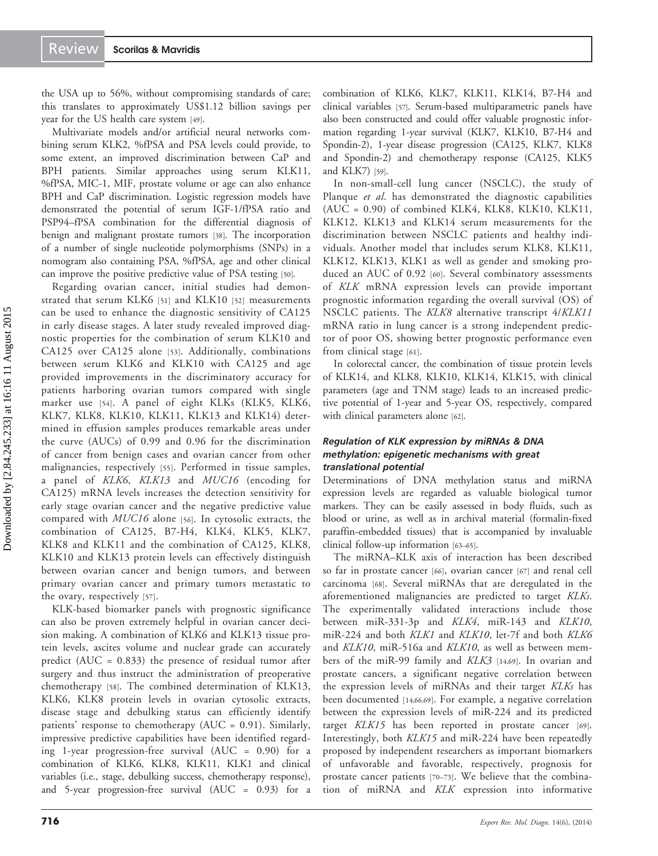the USA up to 56%, without compromising standards of care; this translates to approximately US\$1.12 billion savings per year for the US health care system [\[49](#page-8-0)].

Multivariate models and/or artificial neural networks combining serum KLK2, %fPSA and PSA levels could provide, to some extent, an improved discrimination between CaP and BPH patients. Similar approaches using serum KLK11, %fPSA, MIC-1, MIF, prostate volume or age can also enhance BPH and CaP discrimination. Logistic regression models have demonstrated the potential of serum IGF-1/fPSA ratio and PSP94–fPSA combination for the differential diagnosis of benign and malignant prostate tumors [\[38](#page-8-0)]. The incorporation of a number of single nucleotide polymorphisms (SNPs) in a nomogram also containing PSA, %fPSA, age and other clinical can improve the positive predictive value of PSA testing [[50](#page-8-0)].

Regarding ovarian cancer, initial studies had demonstrated that serum KLK6 [[51\]](#page-8-0) and KLK10 [\[52](#page-9-0)] measurements can be used to enhance the diagnostic sensitivity of CA125 in early disease stages. A later study revealed improved diagnostic properties for the combination of serum KLK10 and CA125 over CA125 alone [[53\]](#page-9-0). Additionally, combinations between serum KLK6 and KLK10 with CA125 and age provided improvements in the discriminatory accuracy for patients harboring ovarian tumors compared with single marker use [[54\]](#page-9-0). A panel of eight KLKs (KLK5, KLK6, KLK7, KLK8, KLK10, KLK11, KLK13 and KLK14) determined in effusion samples produces remarkable areas under the curve (AUCs) of 0.99 and 0.96 for the discrimination of cancer from benign cases and ovarian cancer from other malignancies, respectively [[55](#page-9-0)]. Performed in tissue samples, a panel of KLK6, KLK13 and MUC16 (encoding for CA125) mRNA levels increases the detection sensitivity for early stage ovarian cancer and the negative predictive value compared with MUC16 alone [[56\]](#page-9-0). In cytosolic extracts, the combination of CA125, B7-H4, KLK4, KLK5, KLK7, KLK8 and KLK11 and the combination of CA125, KLK8, KLK10 and KLK13 protein levels can effectively distinguish between ovarian cancer and benign tumors, and between primary ovarian cancer and primary tumors metastatic to the ovary, respectively [[57\]](#page-9-0).

KLK-based biomarker panels with prognostic significance can also be proven extremely helpful in ovarian cancer decision making. A combination of KLK6 and KLK13 tissue protein levels, ascites volume and nuclear grade can accurately predict (AUC = 0.833) the presence of residual tumor after surgery and thus instruct the administration of preoperative chemotherapy [\[58](#page-9-0)]. The combined determination of KLK13, KLK6, KLK8 protein levels in ovarian cytosolic extracts, disease stage and debulking status can efficiently identify patients' response to chemotherapy (AUC = 0.91). Similarly, impressive predictive capabilities have been identified regarding 1-year progression-free survival (AUC = 0.90) for a combination of KLK6, KLK8, KLK11, KLK1 and clinical variables (i.e., stage, debulking success, chemotherapy response), and 5-year progression-free survival (AUC = 0.93) for a combination of KLK6, KLK7, KLK11, KLK14, B7-H4 and clinical variables [\[57\]](#page-9-0). Serum-based multiparametric panels have also been constructed and could offer valuable prognostic information regarding 1-year survival (KLK7, KLK10, B7-H4 and Spondin-2), 1-year disease progression (CA125, KLK7, KLK8 and Spondin-2) and chemotherapy response (CA125, KLK5 and KLK7) [[59](#page-9-0)].

In non-small-cell lung cancer (NSCLC), the study of Planque et al. has demonstrated the diagnostic capabilities  $(AUC = 0.90)$  of combined KLK4, KLK8, KLK10, KLK11, KLK12, KLK13 and KLK14 serum measurements for the discrimination between NSCLC patients and healthy individuals. Another model that includes serum KLK8, KLK11, KLK12, KLK13, KLK1 as well as gender and smoking produced an AUC of 0.92 [[60\]](#page-9-0). Several combinatory assessments of KLK mRNA expression levels can provide important prognostic information regarding the overall survival (OS) of NSCLC patients. The KLK8 alternative transcript 4/KLK11 mRNA ratio in lung cancer is a strong independent predictor of poor OS, showing better prognostic performance even from clinical stage [[61](#page-9-0)].

In colorectal cancer, the combination of tissue protein levels of KLK14, and KLK8, KLK10, KLK14, KLK15, with clinical parameters (age and TNM stage) leads to an increased predictive potential of 1-year and 5-year OS, respectively, compared with clinical parameters alone [\[62](#page-9-0)].

#### Regulation of KLK expression by miRNAs & DNA methylation: epigenetic mechanisms with great translational potential

Determinations of DNA methylation status and miRNA expression levels are regarded as valuable biological tumor markers. They can be easily assessed in body fluids, such as blood or urine, as well as in archival material (formalin-fixed paraffin-embedded tissues) that is accompanied by invaluable clinical follow-up information [\[63](#page-9-0)–[65](#page-9-0)].

The miRNA–KLK axis of interaction has been described so far in prostate cancer [\[66](#page-9-0)], ovarian cancer [\[67](#page-9-0)] and renal cell carcinoma [\[68](#page-9-0)]. Several miRNAs that are deregulated in the aforementioned malignancies are predicted to target KLKs. The experimentally validated interactions include those between miR-331-3p and KLK4, miR-143 and KLK10, miR-224 and both *KLK1* and *KLK10*, let-7f and both *KLK6* and KLK10, miR-516a and KLK10, as well as between members of the miR-99 family and KLK3 [[14](#page-7-0),[69\]](#page-9-0). In ovarian and prostate cancers, a significant negative correlation between the expression levels of miRNAs and their target KLKs has been documented [[14,](#page-7-0)[66,69](#page-9-0)]. For example, a negative correlation between the expression levels of miR-224 and its predicted target KLK15 has been reported in prostate cancer [[69\]](#page-9-0). Interestingly, both KLK15 and miR-224 have been repeatedly proposed by independent researchers as important biomarkers of unfavorable and favorable, respectively, prognosis for prostate cancer patients [\[70](#page-9-0)–[73](#page-9-0)]. We believe that the combination of miRNA and KLK expression into informative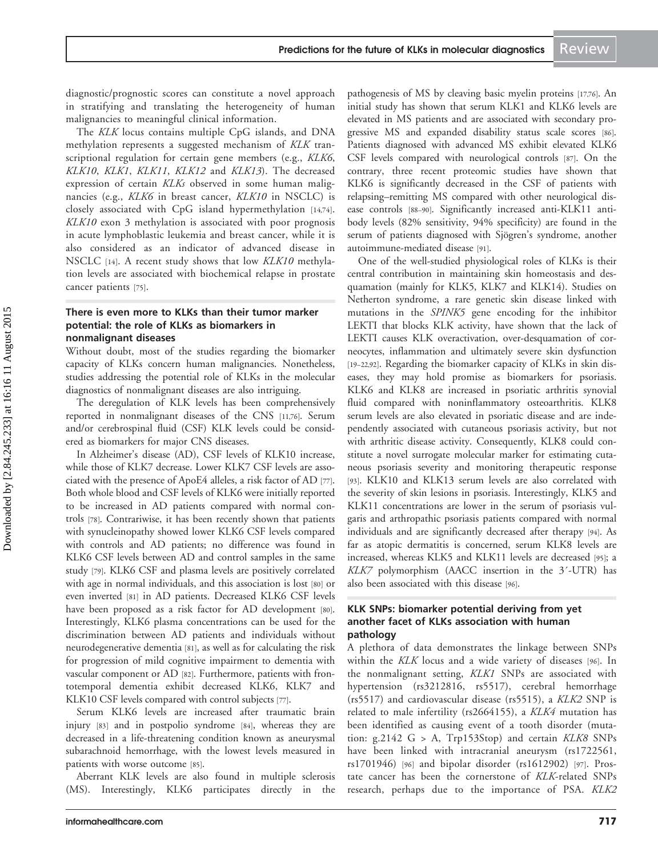Predictions for the future of KLKs in molecular diagnostics Review

diagnostic/prognostic scores can constitute a novel approach in stratifying and translating the heterogeneity of human malignancies to meaningful clinical information.

The KLK locus contains multiple CpG islands, and DNA methylation represents a suggested mechanism of KLK transcriptional regulation for certain gene members (e.g., KLK6, KLK10, KLK1, KLK11, KLK12 and KLK13). The decreased expression of certain KLKs observed in some human malignancies (e.g., KLK6 in breast cancer, KLK10 in NSCLC) is closely associated with CpG island hypermethylation [\[14](#page-7-0),[74](#page-9-0)]. KLK10 exon 3 methylation is associated with poor prognosis in acute lymphoblastic leukemia and breast cancer, while it is also considered as an indicator of advanced disease in NSCLC [[14\]](#page-7-0). A recent study shows that low KLK10 methylation levels are associated with biochemical relapse in prostate cancer patients [[75\]](#page-9-0).

#### There is even more to KLKs than their tumor marker potential: the role of KLKs as biomarkers in nonmalignant diseases

Without doubt, most of the studies regarding the biomarker capacity of KLKs concern human malignancies. Nonetheless, studies addressing the potential role of KLKs in the molecular diagnostics of nonmalignant diseases are also intriguing.

The deregulation of KLK levels has been comprehensively reported in nonmalignant diseases of the CNS [\[11,](#page-7-0)[76\]](#page-9-0). Serum and/or cerebrospinal fluid (CSF) KLK levels could be considered as biomarkers for major CNS diseases.

In Alzheimer's disease (AD), CSF levels of KLK10 increase, while those of KLK7 decrease. Lower KLK7 CSF levels are associated with the presence of ApoE4 alleles, a risk factor of AD [\[77\]](#page-9-0). Both whole blood and CSF levels of KLK6 were initially reported to be increased in AD patients compared with normal controls [[78](#page-9-0)]. Contrariwise, it has been recently shown that patients with synucleinopathy showed lower KLK6 CSF levels compared with controls and AD patients; no difference was found in KLK6 CSF levels between AD and control samples in the same study [\[79\]](#page-9-0). KLK6 CSF and plasma levels are positively correlated with age in normal individuals, and this association is lost [\[80](#page-9-0)] or even inverted [\[81](#page-9-0)] in AD patients. Decreased KLK6 CSF levels have been proposed as a risk factor for AD development [\[80\]](#page-9-0). Interestingly, KLK6 plasma concentrations can be used for the discrimination between AD patients and individuals without neurodegenerative dementia [\[81](#page-9-0)], as well as for calculating the risk for progression of mild cognitive impairment to dementia with vascular component or AD [\[82](#page-9-0)]. Furthermore, patients with frontotemporal dementia exhibit decreased KLK6, KLK7 and KLK10 CSF levels compared with control subjects [[77](#page-9-0)].

Serum KLK6 levels are increased after traumatic brain injury [[83](#page-9-0)] and in postpolio syndrome [\[84\]](#page-9-0), whereas they are decreased in a life-threatening condition known as aneurysmal subarachnoid hemorrhage, with the lowest levels measured in patients with worse outcome [\[85](#page-9-0)].

Aberrant KLK levels are also found in multiple sclerosis (MS). Interestingly, KLK6 participates directly in the

pathogenesis of MS by cleaving basic myelin proteins [\[17,](#page-8-0)[76\]](#page-9-0). An initial study has shown that serum KLK1 and KLK6 levels are elevated in MS patients and are associated with secondary progressive MS and expanded disability status scale scores [[86](#page-9-0)]. Patients diagnosed with advanced MS exhibit elevated KLK6 CSF levels compared with neurological controls [[87](#page-10-0)]. On the contrary, three recent proteomic studies have shown that KLK6 is significantly decreased in the CSF of patients with relapsing–remitting MS compared with other neurological disease controls [[88](#page-10-0)–[90](#page-10-0)]. Significantly increased anti-KLK11 antibody levels (82% sensitivity, 94% specificity) are found in the serum of patients diagnosed with Sjögren's syndrome, another autoimmune-mediated disease [\[91\]](#page-10-0).

One of the well-studied physiological roles of KLKs is their central contribution in maintaining skin homeostasis and desquamation (mainly for KLK5, KLK7 and KLK14). Studies on Netherton syndrome, a rare genetic skin disease linked with mutations in the SPINK5 gene encoding for the inhibitor LEKTI that blocks KLK activity, have shown that the lack of LEKTI causes KLK overactivation, over-desquamation of corneocytes, inflammation and ultimately severe skin dysfunction [\[19](#page-8-0)–[22](#page-8-0)[,92\]](#page-10-0). Regarding the biomarker capacity of KLKs in skin diseases, they may hold promise as biomarkers for psoriasis. KLK6 and KLK8 are increased in psoriatic arthritis synovial fluid compared with noninflammatory osteoarthritis. KLK8 serum levels are also elevated in psoriatic disease and are independently associated with cutaneous psoriasis activity, but not with arthritic disease activity. Consequently, KLK8 could constitute a novel surrogate molecular marker for estimating cutaneous psoriasis severity and monitoring therapeutic response [\[93\]](#page-10-0). KLK10 and KLK13 serum levels are also correlated with the severity of skin lesions in psoriasis. Interestingly, KLK5 and KLK11 concentrations are lower in the serum of psoriasis vulgaris and arthropathic psoriasis patients compared with normal individuals and are significantly decreased after therapy [[94](#page-10-0)]. As far as atopic dermatitis is concerned, serum KLK8 levels are increased, whereas KLK5 and KLK11 levels are decreased [\[95](#page-10-0)]; a KLK7 polymorphism (AACC insertion in the 3'-UTR) has also been associated with this disease [\[96](#page-10-0)].

#### KLK SNPs: biomarker potential deriving from yet another facet of KLKs association with human pathology

A plethora of data demonstrates the linkage between SNPs within the KLK locus and a wide variety of diseases [\[96](#page-10-0)]. In the nonmalignant setting, KLK1 SNPs are associated with hypertension (rs3212816, rs5517), cerebral hemorrhage (rs5517) and cardiovascular disease (rs5515), a KLK2 SNP is related to male infertility (rs2664155), a KLK4 mutation has been identified as causing event of a tooth disorder (mutation:  $g.2142$  G > A, Trp153Stop) and certain KLK8 SNPs have been linked with intracranial aneurysm (rs1722561, rs1701946) [[96](#page-10-0)] and bipolar disorder (rs1612902) [[97\]](#page-10-0). Prostate cancer has been the cornerstone of KLK-related SNPs research, perhaps due to the importance of PSA. KLK2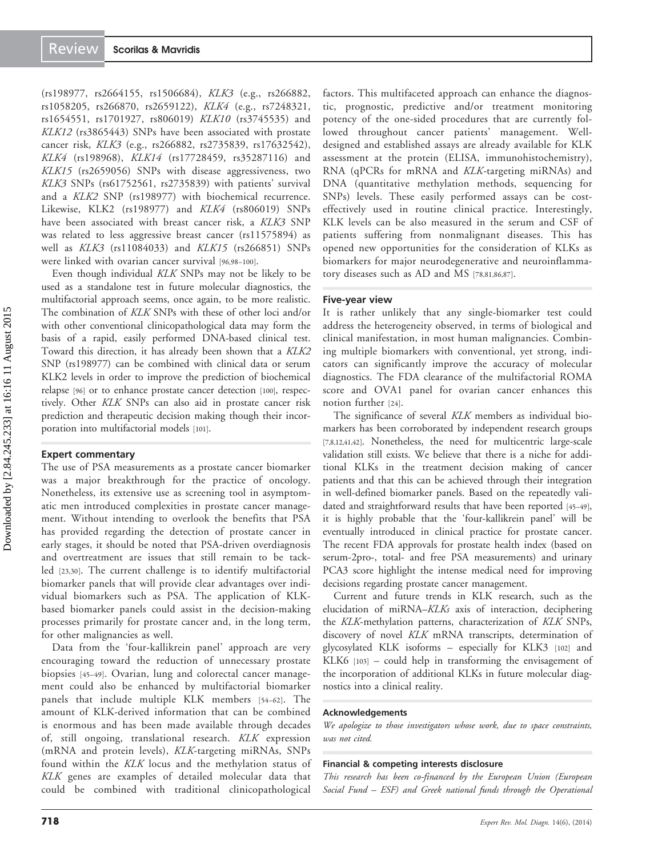(rs198977, rs2664155, rs1506684), KLK3 (e.g., rs266882, rs1058205, rs266870, rs2659122), KLK4 (e.g., rs7248321, rs1654551, rs1701927, rs806019) KLK10 (rs3745535) and KLK12 (rs3865443) SNPs have been associated with prostate cancer risk, KLK3 (e.g., rs266882, rs2735839, rs17632542), KLK4 (rs198968), KLK14 (rs17728459, rs35287116) and KLK15 (rs2659056) SNPs with disease aggressiveness, two KLK3 SNPs (rs61752561, rs2735839) with patients' survival and a KLK2 SNP (rs198977) with biochemical recurrence. Likewise, KLK2 (rs198977) and KLK4 (rs806019) SNPs have been associated with breast cancer risk, a KLK3 SNP was related to less aggressive breast cancer (rs11575894) as well as KLK3 (rs11084033) and KLK15 (rs266851) SNPs were linked with ovarian cancer survival [\[96](#page-10-0),[98](#page-10-0)–[100\]](#page-10-0).

Even though individual KLK SNPs may not be likely to be used as a standalone test in future molecular diagnostics, the multifactorial approach seems, once again, to be more realistic. The combination of KLK SNPs with these of other loci and/or with other conventional clinicopathological data may form the basis of a rapid, easily performed DNA-based clinical test. Toward this direction, it has already been shown that a KLK2 SNP (rs198977) can be combined with clinical data or serum KLK2 levels in order to improve the prediction of biochemical relapse [[96\]](#page-10-0) or to enhance prostate cancer detection [\[100\]](#page-10-0), respectively. Other KLK SNPs can also aid in prostate cancer risk prediction and therapeutic decision making though their incorporation into multifactorial models [\[101\]](#page-10-0).

#### Expert commentary

The use of PSA measurements as a prostate cancer biomarker was a major breakthrough for the practice of oncology. Nonetheless, its extensive use as screening tool in asymptomatic men introduced complexities in prostate cancer management. Without intending to overlook the benefits that PSA has provided regarding the detection of prostate cancer in early stages, it should be noted that PSA-driven overdiagnosis and overtreatment are issues that still remain to be tackled [[23,30](#page-8-0)]. The current challenge is to identify multifactorial biomarker panels that will provide clear advantages over individual biomarkers such as PSA. The application of KLKbased biomarker panels could assist in the decision-making processes primarily for prostate cancer and, in the long term, for other malignancies as well.

Data from the 'four-kallikrein panel' approach are very encouraging toward the reduction of unnecessary prostate biopsies [\[45](#page-8-0)–[49](#page-8-0)]. Ovarian, lung and colorectal cancer management could also be enhanced by multifactorial biomarker panels that include multiple KLK members [[54](#page-9-0)–[62\]](#page-9-0). The amount of KLK-derived information that can be combined is enormous and has been made available through decades of, still ongoing, translational research. KLK expression (mRNA and protein levels), KLK-targeting miRNAs, SNPs found within the KLK locus and the methylation status of KLK genes are examples of detailed molecular data that could be combined with traditional clinicopathological

factors. This multifaceted approach can enhance the diagnostic, prognostic, predictive and/or treatment monitoring potency of the one-sided procedures that are currently followed throughout cancer patients' management. Welldesigned and established assays are already available for KLK assessment at the protein (ELISA, immunohistochemistry), RNA (qPCRs for mRNA and KLK-targeting miRNAs) and DNA (quantitative methylation methods, sequencing for SNPs) levels. These easily performed assays can be costeffectively used in routine clinical practice. Interestingly, KLK levels can be also measured in the serum and CSF of patients suffering from nonmalignant diseases. This has opened new opportunities for the consideration of KLKs as biomarkers for major neurodegenerative and neuroinflammatory diseases such as AD and MS [[78](#page-9-0),[81](#page-9-0),[86,](#page-9-0)[87](#page-10-0)].

#### Five-year view

It is rather unlikely that any single-biomarker test could address the heterogeneity observed, in terms of biological and clinical manifestation, in most human malignancies. Combining multiple biomarkers with conventional, yet strong, indicators can significantly improve the accuracy of molecular diagnostics. The FDA clearance of the multifactorial ROMA score and OVA1 panel for ovarian cancer enhances this notion further [[24\]](#page-8-0).

The significance of several KLK members as individual biomarkers has been corroborated by independent research groups [\[7,8](#page-7-0),[12](#page-7-0),[41,42](#page-8-0)]. Nonetheless, the need for multicentric large-scale validation still exists. We believe that there is a niche for additional KLKs in the treatment decision making of cancer patients and that this can be achieved through their integration in well-defined biomarker panels. Based on the repeatedly validated and straightforward results that have been reported [[45](#page-8-0)–[49\]](#page-8-0), it is highly probable that the 'four-kallikrein panel' will be eventually introduced in clinical practice for prostate cancer. The recent FDA approvals for prostate health index (based on serum-2pro-, total- and free PSA measurements) and urinary PCA3 score highlight the intense medical need for improving decisions regarding prostate cancer management.

Current and future trends in KLK research, such as the elucidation of miRNA–KLKs axis of interaction, deciphering the KLK-methylation patterns, characterization of KLK SNPs, discovery of novel KLK mRNA transcripts, determination of glycosylated KLK isoforms – especially for KLK3 [\[102\]](#page-10-0) and KLK6 [[103\]](#page-10-0) – could help in transforming the envisagement of the incorporation of additional KLKs in future molecular diagnostics into a clinical reality.

#### Acknowledgements

We apologize to those investigators whose work, due to space constraints, was not cited.

#### Financial & competing interests disclosure

This research has been co-financed by the European Union (European Social Fund – ESF) and Greek national funds through the Operational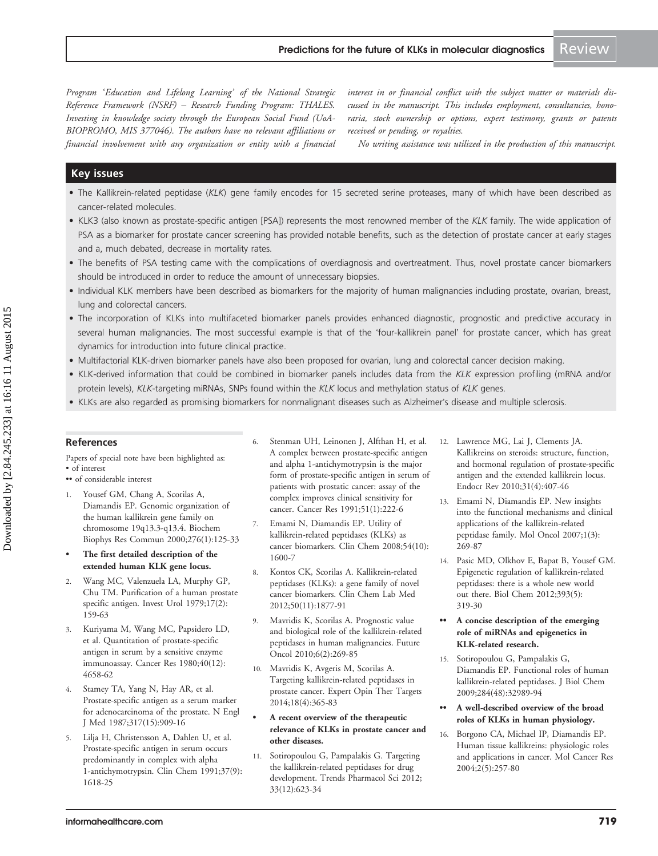<span id="page-7-0"></span>Program 'Education and Lifelong Learning' of the National Strategic Reference Framework (NSRF) – Research Funding Program: THALES. Investing in knowledge society through the European Social Fund (UoA-BIOPROMO, MIS 377046). The authors have no relevant affiliations or financial involvement with any organization or entity with a financial

interest in or financial conflict with the subject matter or materials discussed in the manuscript. This includes employment, consultancies, honoraria, stock ownership or options, expert testimony, grants or patents received or pending, or royalties.

No writing assistance was utilized in the production of this manuscript.

#### Key issues

- The Kallikrein-related peptidase (KLK) gene family encodes for 15 secreted serine proteases, many of which have been described as cancer-related molecules.
- KLK3 (also known as prostate-specific antigen [PSA]) represents the most renowned member of the KLK family. The wide application of PSA as a biomarker for prostate cancer screening has provided notable benefits, such as the detection of prostate cancer at early stages and a, much debated, decrease in mortality rates.
- The benefits of PSA testing came with the complications of overdiagnosis and overtreatment. Thus, novel prostate cancer biomarkers should be introduced in order to reduce the amount of unnecessary biopsies.
- Individual KLK members have been described as biomarkers for the majority of human malignancies including prostate, ovarian, breast, lung and colorectal cancers.
- The incorporation of KLKs into multifaceted biomarker panels provides enhanced diagnostic, prognostic and predictive accuracy in several human malignancies. The most successful example is that of the 'four-kallikrein panel' for prostate cancer, which has great dynamics for introduction into future clinical practice.
- Multifactorial KLK-driven biomarker panels have also been proposed for ovarian, lung and colorectal cancer decision making.
- KLK-derived information that could be combined in biomarker panels includes data from the KLK expression profiling (mRNA and/or protein levels), KLK-targeting miRNAs, SNPs found within the KLK locus and methylation status of KLK genes.
- KLKs are also regarded as promising biomarkers for nonmalignant diseases such as Alzheimer's disease and multiple sclerosis.

#### References

Papers of special note have been highlighted as: • of interest

- •• of considerable interest
- 1. Yousef GM, Chang A, Scorilas A, Diamandis EP. [Genomic organization of](http://www.ncbi.nlm.nih.gov/pubmed/11006094?dopt=Abstract) [the human kallikrein gene family on](http://www.ncbi.nlm.nih.gov/pubmed/11006094?dopt=Abstract) [chromosome 19q13.3-q13.4](http://www.ncbi.nlm.nih.gov/pubmed/11006094?dopt=Abstract). Biochem Biophys Res Commun 2000;276(1):125-33
- The first detailed description of the extended human KLK gene locus.
- 2. Wang MC, Valenzuela LA, Murphy GP, Chu TM. [Purification of a human prostate](http://www.ncbi.nlm.nih.gov/pubmed/89106?dopt=Abstract) [specific antigen](http://www.ncbi.nlm.nih.gov/pubmed/89106?dopt=Abstract). Invest Urol 1979;17(2): 159-63
- 3. Kuriyama M, Wang MC, Papsidero LD, et al. [Quantitation of prostate-specific](http://www.ncbi.nlm.nih.gov/pubmed/6159971?dopt=Abstract) [antigen in serum by a sensitive enzyme](http://www.ncbi.nlm.nih.gov/pubmed/6159971?dopt=Abstract) [immunoassay.](http://www.ncbi.nlm.nih.gov/pubmed/6159971?dopt=Abstract) Cancer Res 1980;40(12): 4658-62
- 4. Stamey TA, Yang N, Hay AR, et al. [Prostate-specific antigen as a serum marker](http://www.ncbi.nlm.nih.gov/pubmed/2442609?dopt=Abstract) [for adenocarcinoma of the prostate](http://www.ncbi.nlm.nih.gov/pubmed/2442609?dopt=Abstract). N Engl J Med 1987;317(15):909-16
- 5. Lilja H, Christensson A, Dahlen U, et al. [Prostate-specific antigen in serum occurs](http://www.ncbi.nlm.nih.gov/pubmed/1716536?dopt=Abstract) [predominantly in complex with alpha](http://www.ncbi.nlm.nih.gov/pubmed/1716536?dopt=Abstract) [1-antichymotrypsin.](http://www.ncbi.nlm.nih.gov/pubmed/1716536?dopt=Abstract) Clin Chem 1991;37(9): 1618-25
- 6. Stenman UH, Leinonen J, Alfthan H, et al. [A complex between prostate-specific antigen](http://www.ncbi.nlm.nih.gov/pubmed/1703033?dopt=Abstract) [and alpha 1-antichymotrypsin is the major](http://www.ncbi.nlm.nih.gov/pubmed/1703033?dopt=Abstract) [form of prostate-specific antigen in serum of](http://www.ncbi.nlm.nih.gov/pubmed/1703033?dopt=Abstract) [patients with prostatic cancer: assay of the](http://www.ncbi.nlm.nih.gov/pubmed/1703033?dopt=Abstract) [complex improves clinical sensitivity for](http://www.ncbi.nlm.nih.gov/pubmed/1703033?dopt=Abstract) [cancer](http://www.ncbi.nlm.nih.gov/pubmed/1703033?dopt=Abstract). Cancer Res 1991;51(1):222-6
- 7. Emami N, Diamandis EP. [Utility of](http://www.ncbi.nlm.nih.gov/pubmed/18687738?dopt=Abstract) [kallikrein-related peptidases \(KLKs\) as](http://www.ncbi.nlm.nih.gov/pubmed/18687738?dopt=Abstract) [cancer biomarkers](http://www.ncbi.nlm.nih.gov/pubmed/18687738?dopt=Abstract). Clin Chem 2008;54(10): 1600-7
- 8. Kontos CK, Scorilas A. [Kallikrein-related](http://www.ncbi.nlm.nih.gov/pubmed/23093268?dopt=Abstract) [peptidases \(KLKs\): a gene family of novel](http://www.ncbi.nlm.nih.gov/pubmed/23093268?dopt=Abstract) [cancer biomarkers](http://www.ncbi.nlm.nih.gov/pubmed/23093268?dopt=Abstract). Clin Chem Lab Med 2012;50(11):1877-91
- 9. Mavridis K, Scorilas A. [Prognostic value](http://www.ncbi.nlm.nih.gov/pubmed/20146586?dopt=Abstract) [and biological role of the kallikrein-related](http://www.ncbi.nlm.nih.gov/pubmed/20146586?dopt=Abstract) [peptidases in human malignancies](http://www.ncbi.nlm.nih.gov/pubmed/20146586?dopt=Abstract). Future Oncol 2010;6(2):269-85
- 10. Mavridis K, Avgeris M, Scorilas A. [Targeting kallikrein-related peptidases in](http://www.ncbi.nlm.nih.gov/pubmed/24571737?dopt=Abstract) [prostate cancer.](http://www.ncbi.nlm.nih.gov/pubmed/24571737?dopt=Abstract) Expert Opin Ther Targets 2014;18(4):365-83
- A recent overview of the therapeutic relevance of KLKs in prostate cancer and other diseases.
- 11. Sotiropoulou G, Pampalakis G. [Targeting](http://www.ncbi.nlm.nih.gov/pubmed/23089221?dopt=Abstract) [the kallikrein-related peptidases for drug](http://www.ncbi.nlm.nih.gov/pubmed/23089221?dopt=Abstract) [development.](http://www.ncbi.nlm.nih.gov/pubmed/23089221?dopt=Abstract) Trends Pharmacol Sci 2012; 33(12):623-34
- 12. Lawrence MG, Lai J, Clements JA. [Kallikreins on steroids: structure, function,](http://www.ncbi.nlm.nih.gov/pubmed/20103546?dopt=Abstract) [and hormonal regulation of prostate-specific](http://www.ncbi.nlm.nih.gov/pubmed/20103546?dopt=Abstract) [antigen and the extended kallikrein locus.](http://www.ncbi.nlm.nih.gov/pubmed/20103546?dopt=Abstract) Endocr Rev 2010;31(4):407-46
- 13. Emami N, Diamandis EP. [New insights](http://www.ncbi.nlm.nih.gov/pubmed/19383303?dopt=Abstract) [into the functional mechanisms and clinical](http://www.ncbi.nlm.nih.gov/pubmed/19383303?dopt=Abstract) [applications of the kallikrein-related](http://www.ncbi.nlm.nih.gov/pubmed/19383303?dopt=Abstract) [peptidase family](http://www.ncbi.nlm.nih.gov/pubmed/19383303?dopt=Abstract). Mol Oncol 2007;1(3): 269-87
- 14. Pasic MD, Olkhov E, Bapat B, Yousef GM. [Epigenetic regulation of kallikrein-related](http://www.ncbi.nlm.nih.gov/pubmed/22505515?dopt=Abstract) [peptidases: there is a whole new world](http://www.ncbi.nlm.nih.gov/pubmed/22505515?dopt=Abstract) [out there.](http://www.ncbi.nlm.nih.gov/pubmed/22505515?dopt=Abstract) Biol Chem 2012;393(5): 319-30
- •• A concise description of the emerging role of miRNAs and epigenetics in KLK-related research.
- 15. Sotiropoulou G, Pampalakis G, Diamandis EP. [Functional roles of human](http://www.ncbi.nlm.nih.gov/pubmed/19819870?dopt=Abstract) [kallikrein-related peptidases](http://www.ncbi.nlm.nih.gov/pubmed/19819870?dopt=Abstract). J Biol Chem 2009;284(48):32989-94
- A well-described overview of the broad roles of KLKs in human physiology.
- 16. Borgono CA, Michael IP, Diamandis EP. [Human tissue kallikreins: physiologic roles](http://www.ncbi.nlm.nih.gov/pubmed/15192120?dopt=Abstract) [and applications in cancer](http://www.ncbi.nlm.nih.gov/pubmed/15192120?dopt=Abstract). Mol Cancer Res 2004;2(5):257-80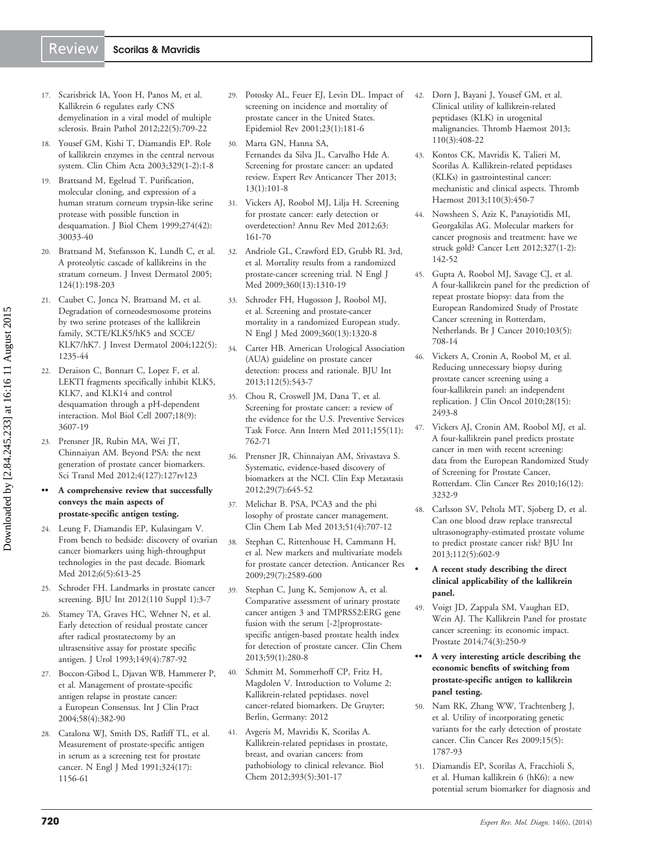# <span id="page-8-0"></span>Review | Scorilas & Mavridis

- 17. Scarisbrick IA, Yoon H, Panos M, et al. [Kallikrein 6 regulates early CNS](http://www.ncbi.nlm.nih.gov/pubmed/22335454?dopt=Abstract) [demyelination in a viral model of multiple](http://www.ncbi.nlm.nih.gov/pubmed/22335454?dopt=Abstract) [sclerosis.](http://www.ncbi.nlm.nih.gov/pubmed/22335454?dopt=Abstract) Brain Pathol 2012;22(5):709-22
- 18. Yousef GM, Kishi T, Diamandis EP. [Role](http://www.ncbi.nlm.nih.gov/pubmed/12589961?dopt=Abstract) [of kallikrein enzymes in the central nervous](http://www.ncbi.nlm.nih.gov/pubmed/12589961?dopt=Abstract) [system.](http://www.ncbi.nlm.nih.gov/pubmed/12589961?dopt=Abstract) Clin Chim Acta 2003;329(1-2):1-8
- 19. Brattsand M, Egelrud T. [Purification,](http://www.ncbi.nlm.nih.gov/pubmed/10514489?dopt=Abstract) [molecular cloning, and expression of a](http://www.ncbi.nlm.nih.gov/pubmed/10514489?dopt=Abstract) [human stratum corneum trypsin-like serine](http://www.ncbi.nlm.nih.gov/pubmed/10514489?dopt=Abstract) [protease with possible function in](http://www.ncbi.nlm.nih.gov/pubmed/10514489?dopt=Abstract) [desquamation](http://www.ncbi.nlm.nih.gov/pubmed/10514489?dopt=Abstract). J Biol Chem 1999;274(42): 30033-40
- 20. Brattsand M, Stefansson K, Lundh C, et al. [A proteolytic cascade of kallikreins in the](http://www.ncbi.nlm.nih.gov/pubmed/15654974?dopt=Abstract) [stratum corneum.](http://www.ncbi.nlm.nih.gov/pubmed/15654974?dopt=Abstract) J Invest Dermatol 2005; 124(1):198-203
- 21. Caubet C, Jonca N, Brattsand M, et al. [Degradation of corneodesmosome proteins](http://www.ncbi.nlm.nih.gov/pubmed/15140227?dopt=Abstract) [by two serine proteases of the kallikrein](http://www.ncbi.nlm.nih.gov/pubmed/15140227?dopt=Abstract) [family, SCTE/KLK5/hK5 and SCCE/](http://www.ncbi.nlm.nih.gov/pubmed/15140227?dopt=Abstract) [KLK7/hK7](http://www.ncbi.nlm.nih.gov/pubmed/15140227?dopt=Abstract). J Invest Dermatol 2004;122(5): 1235-44
- 22. Deraison C, Bonnart C, Lopez F, et al. [LEKTI fragments specifically inhibit KLK5,](http://www.ncbi.nlm.nih.gov/pubmed/17596512?dopt=Abstract) [KLK7, and KLK14 and control](http://www.ncbi.nlm.nih.gov/pubmed/17596512?dopt=Abstract) [desquamation through a pH-dependent](http://www.ncbi.nlm.nih.gov/pubmed/17596512?dopt=Abstract) [interaction](http://www.ncbi.nlm.nih.gov/pubmed/17596512?dopt=Abstract). Mol Biol Cell 2007;18(9): 3607-19
- 23. Prensner JR, Rubin MA, Wei JT, Chinnaiyan AM. [Beyond PSA: the next](http://www.ncbi.nlm.nih.gov/pubmed/22461644?dopt=Abstract) [generation of prostate cancer biomarkers](http://www.ncbi.nlm.nih.gov/pubmed/22461644?dopt=Abstract). Sci Transl Med 2012;4(127):127rv123

#### A comprehensive review that successfully conveys the main aspects of prostate-specific antigen testing.

- 24. Leung F, Diamandis EP, Kulasingam V. [From bench to bedside: discovery of ovarian](http://www.ncbi.nlm.nih.gov/pubmed/23075239?dopt=Abstract) [cancer biomarkers using high-throughput](http://www.ncbi.nlm.nih.gov/pubmed/23075239?dopt=Abstract) [technologies in the past decade.](http://www.ncbi.nlm.nih.gov/pubmed/23075239?dopt=Abstract) Biomark Med 2012;6(5):613-25
- 25. Schroder FH. [Landmarks in prostate cancer](http://www.ncbi.nlm.nih.gov/pubmed/23046034?dopt=Abstract) [screening](http://www.ncbi.nlm.nih.gov/pubmed/23046034?dopt=Abstract). BJU Int 2012(110 Suppl 1):3-7
- 26. Stamey TA, Graves HC, Wehner N, et al. [Early detection of residual prostate cancer](http://www.ncbi.nlm.nih.gov/pubmed/7681119?dopt=Abstract) [after radical prostatectomy by an](http://www.ncbi.nlm.nih.gov/pubmed/7681119?dopt=Abstract) [ultrasensitive assay for prostate specific](http://www.ncbi.nlm.nih.gov/pubmed/7681119?dopt=Abstract) [antigen](http://www.ncbi.nlm.nih.gov/pubmed/7681119?dopt=Abstract). J Urol 1993;149(4):787-92
- 27. Boccon-Gibod L, Djavan WB, Hammerer P, et al. [Management of prostate-specific](http://www.ncbi.nlm.nih.gov/pubmed/15161124?dopt=Abstract) [antigen relapse in prostate cancer:](http://www.ncbi.nlm.nih.gov/pubmed/15161124?dopt=Abstract) [a European Consensus](http://www.ncbi.nlm.nih.gov/pubmed/15161124?dopt=Abstract). Int J Clin Pract 2004;58(4):382-90
- 28. Catalona WJ, Smith DS, Ratliff TL, et al. [Measurement of prostate-specific antigen](http://www.ncbi.nlm.nih.gov/pubmed/1707140?dopt=Abstract) [in serum as a screening test for prostate](http://www.ncbi.nlm.nih.gov/pubmed/1707140?dopt=Abstract) [cancer.](http://www.ncbi.nlm.nih.gov/pubmed/1707140?dopt=Abstract) N Engl J Med 1991;324(17): 1156-61
- 29. Potosky AL, Feuer EJ, Levin DL. [Impact of](http://www.ncbi.nlm.nih.gov/pubmed/11588846?dopt=Abstract) [screening on incidence and mortality of](http://www.ncbi.nlm.nih.gov/pubmed/11588846?dopt=Abstract) [prostate cancer in the United States](http://www.ncbi.nlm.nih.gov/pubmed/11588846?dopt=Abstract). Epidemiol Rev 2001;23(1):181-6
- 30. Marta GN, Hanna SA, Fernandes da Silva JL, Carvalho Hde A. [Screening for prostate cancer: an updated](http://www.ncbi.nlm.nih.gov/pubmed/23259431?dopt=Abstract) [review.](http://www.ncbi.nlm.nih.gov/pubmed/23259431?dopt=Abstract) Expert Rev Anticancer Ther 2013; 13(1):101-8
- 31. Vickers AJ, Roobol MJ, Lilja H. [Screening](http://www.ncbi.nlm.nih.gov/pubmed/22053739?dopt=Abstract) [for prostate cancer: early detection or](http://www.ncbi.nlm.nih.gov/pubmed/22053739?dopt=Abstract) [overdetection?](http://www.ncbi.nlm.nih.gov/pubmed/22053739?dopt=Abstract) Annu Rev Med 2012;63: 161-70
- 32. Andriole GL, Crawford ED, Grubb RL 3rd, et al. [Mortality results from a randomized](http://www.ncbi.nlm.nih.gov/pubmed/19297565?dopt=Abstract) [prostate-cancer screening trial](http://www.ncbi.nlm.nih.gov/pubmed/19297565?dopt=Abstract). N Engl J Med 2009;360(13):1310-19
- 33. Schroder FH, Hugosson J, Roobol MJ, et al. [Screening and prostate-cancer](http://www.ncbi.nlm.nih.gov/pubmed/19297566?dopt=Abstract) [mortality in a randomized European study](http://www.ncbi.nlm.nih.gov/pubmed/19297566?dopt=Abstract). N Engl J Med 2009;360(13):1320-8
- 34. Carter HB. [American Urological Association](http://www.ncbi.nlm.nih.gov/pubmed/23924423?dopt=Abstract) [\(AUA\) guideline on prostate cancer](http://www.ncbi.nlm.nih.gov/pubmed/23924423?dopt=Abstract) [detection: process and rationale.](http://www.ncbi.nlm.nih.gov/pubmed/23924423?dopt=Abstract) BJU Int 2013;112(5):543-7
- 35. Chou R, Croswell JM, Dana T, et al. [Screening for prostate cancer: a review of](http://www.ncbi.nlm.nih.gov/pubmed/21984740?dopt=Abstract) [the evidence for the U.S. Preventive Services](http://www.ncbi.nlm.nih.gov/pubmed/21984740?dopt=Abstract) [Task Force.](http://www.ncbi.nlm.nih.gov/pubmed/21984740?dopt=Abstract) Ann Intern Med 2011;155(11): 762-71
- 36. Prensner JR, Chinnaiyan AM, Srivastava S. [Systematic, evidence-based discovery of](http://www.ncbi.nlm.nih.gov/pubmed/22868876?dopt=Abstract) [biomarkers at the NCI.](http://www.ncbi.nlm.nih.gov/pubmed/22868876?dopt=Abstract) Clin Exp Metastasis 2012;29(7):645-52
- 37. Melichar B. PSA, PCA3 and the phi losophy of prostate cancer management. Clin Chem Lab Med 2013;51(4):707-12
- 38. Stephan C, Rittenhouse H, Cammann H, et al. [New markers and multivariate models](http://www.ncbi.nlm.nih.gov/pubmed/19596933?dopt=Abstract) [for prostate cancer detection.](http://www.ncbi.nlm.nih.gov/pubmed/19596933?dopt=Abstract) Anticancer Res 2009;29(7):2589-600
- 39. Stephan C, Jung K, Semjonow A, et al. [Comparative assessment of urinary prostate](http://www.ncbi.nlm.nih.gov/pubmed/23213079?dopt=Abstract) [cancer antigen 3 and TMPRSS2:ERG gene](http://www.ncbi.nlm.nih.gov/pubmed/23213079?dopt=Abstract) [fusion with the serum \[-2\]proprostate](http://www.ncbi.nlm.nih.gov/pubmed/23213079?dopt=Abstract)[specific antigen-based prostate health index](http://www.ncbi.nlm.nih.gov/pubmed/23213079?dopt=Abstract) [for detection of prostate cancer](http://www.ncbi.nlm.nih.gov/pubmed/23213079?dopt=Abstract). Clin Chem 2013;59(1):280-8
- 40. Schmitt M, Sommerhoff CP, Fritz H, Magdolen V. Introduction to Volume 2: Kallikrein-related peptidases. novel cancer-related biomarkers. De Gruyter; Berlin, Germany: 2012
- 41. Avgeris M, Mavridis K, Scorilas A. [Kallikrein-related peptidases in prostate,](http://www.ncbi.nlm.nih.gov/pubmed/22505514?dopt=Abstract) [breast, and ovarian cancers: from](http://www.ncbi.nlm.nih.gov/pubmed/22505514?dopt=Abstract) [pathobiology to clinical relevance](http://www.ncbi.nlm.nih.gov/pubmed/22505514?dopt=Abstract). Biol Chem 2012;393(5):301-17
- 42. Dorn J, Bayani J, Yousef GM, et al. [Clinical utility of kallikrein-related](http://www.ncbi.nlm.nih.gov/pubmed/23765253?dopt=Abstract) [peptidases \(KLK\) in urogenital](http://www.ncbi.nlm.nih.gov/pubmed/23765253?dopt=Abstract) [malignancies.](http://www.ncbi.nlm.nih.gov/pubmed/23765253?dopt=Abstract) Thromb Haemost 2013; 110(3):408-22
- 43. Kontos CK, Mavridis K, Talieri M, Scorilas A. [Kallikrein-related peptidases](http://www.ncbi.nlm.nih.gov/pubmed/23446315?dopt=Abstract) [\(KLKs\) in gastrointestinal cancer:](http://www.ncbi.nlm.nih.gov/pubmed/23446315?dopt=Abstract) [mechanistic and clinical aspects.](http://www.ncbi.nlm.nih.gov/pubmed/23446315?dopt=Abstract) Thromb Haemost 2013;110(3):450-7
- 44. Nowsheen S, Aziz K, Panayiotidis MI, Georgakilas AG. [Molecular markers for](http://www.ncbi.nlm.nih.gov/pubmed/22120674?dopt=Abstract) [cancer prognosis and treatment: have we](http://www.ncbi.nlm.nih.gov/pubmed/22120674?dopt=Abstract) [struck gold?](http://www.ncbi.nlm.nih.gov/pubmed/22120674?dopt=Abstract) Cancer Lett 2012;327(1-2): 142-52
- 45. Gupta A, Roobol MJ, Savage CJ, et al. [A four-kallikrein panel for the prediction of](http://www.ncbi.nlm.nih.gov/pubmed/20664589?dopt=Abstract) [repeat prostate biopsy: data from the](http://www.ncbi.nlm.nih.gov/pubmed/20664589?dopt=Abstract) [European Randomized Study of Prostate](http://www.ncbi.nlm.nih.gov/pubmed/20664589?dopt=Abstract) [Cancer screening in Rotterdam,](http://www.ncbi.nlm.nih.gov/pubmed/20664589?dopt=Abstract) [Netherlands.](http://www.ncbi.nlm.nih.gov/pubmed/20664589?dopt=Abstract) Br J Cancer 2010;103(5): 708-14
- 46. Vickers A, Cronin A, Roobol M, et al. [Reducing unnecessary biopsy during](http://www.ncbi.nlm.nih.gov/pubmed/20421547?dopt=Abstract) [prostate cancer screening using a](http://www.ncbi.nlm.nih.gov/pubmed/20421547?dopt=Abstract) [four-kallikrein panel: an independent](http://www.ncbi.nlm.nih.gov/pubmed/20421547?dopt=Abstract) [replication.](http://www.ncbi.nlm.nih.gov/pubmed/20421547?dopt=Abstract) J Clin Oncol 2010;28(15): 2493-8
- 47. Vickers AJ, Cronin AM, Roobol MJ, et al. [A four-kallikrein panel predicts prostate](http://www.ncbi.nlm.nih.gov/pubmed/20400522?dopt=Abstract) [cancer in men with recent screening:](http://www.ncbi.nlm.nih.gov/pubmed/20400522?dopt=Abstract) [data from the European Randomized Study](http://www.ncbi.nlm.nih.gov/pubmed/20400522?dopt=Abstract) [of Screening for Prostate Cancer,](http://www.ncbi.nlm.nih.gov/pubmed/20400522?dopt=Abstract) [Rotterdam](http://www.ncbi.nlm.nih.gov/pubmed/20400522?dopt=Abstract). Clin Cancer Res 2010;16(12): 3232-9
- 48. Carlsson SV, Peltola MT, Sjoberg D, et al. [Can one blood draw replace transrectal](http://www.ncbi.nlm.nih.gov/pubmed/23448270?dopt=Abstract) [ultrasonography-estimated prostate volume](http://www.ncbi.nlm.nih.gov/pubmed/23448270?dopt=Abstract) [to predict prostate cancer risk?](http://www.ncbi.nlm.nih.gov/pubmed/23448270?dopt=Abstract) BJU Int 2013;112(5):602-9
	- A recent study describing the direct clinical applicability of the kallikrein panel.
- 49. Voigt JD, Zappala SM, Vaughan ED, Wein AJ. [The Kallikrein Panel for prostate](http://www.ncbi.nlm.nih.gov/pubmed/24166488?dopt=Abstract) [cancer screening: its economic impact](http://www.ncbi.nlm.nih.gov/pubmed/24166488?dopt=Abstract). Prostate 2014;74(3):250-9
- •• A very interesting article describing the economic benefits of switching from prostate-specific antigen to kallikrein panel testing.
- 50. Nam RK, Zhang WW, Trachtenberg J, et al. [Utility of incorporating genetic](http://www.ncbi.nlm.nih.gov/pubmed/19223501?dopt=Abstract) [variants for the early detection of prostate](http://www.ncbi.nlm.nih.gov/pubmed/19223501?dopt=Abstract) [cancer.](http://www.ncbi.nlm.nih.gov/pubmed/19223501?dopt=Abstract) Clin Cancer Res 2009;15(5): 1787-93
- 51. Diamandis EP, Scorilas A, Fracchioli S, et al. [Human kallikrein 6 \(hK6\): a new](http://www.ncbi.nlm.nih.gov/pubmed/12637468?dopt=Abstract) [potential serum biomarker for diagnosis and](http://www.ncbi.nlm.nih.gov/pubmed/12637468?dopt=Abstract)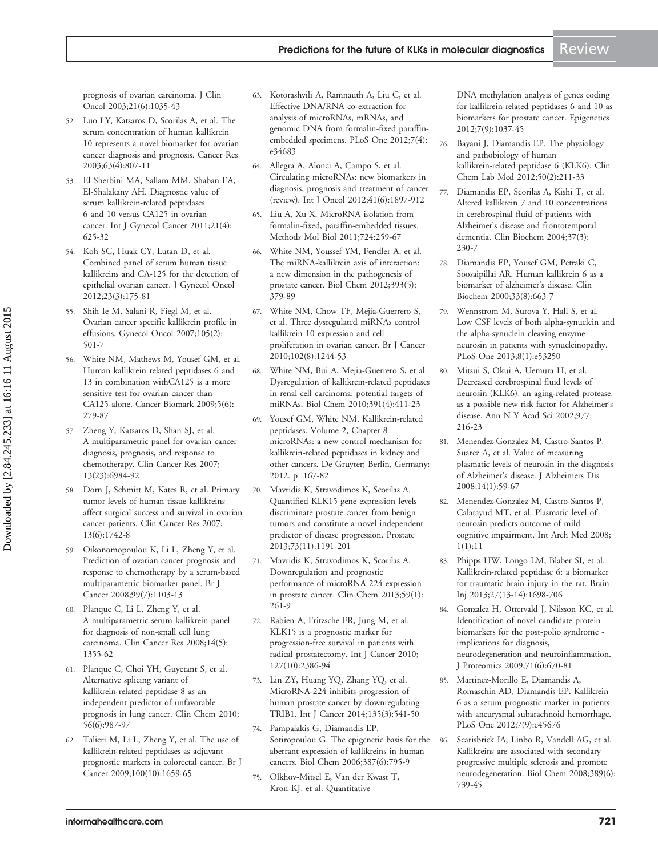<span id="page-9-0"></span>[prognosis of ovarian carcinoma.](http://www.ncbi.nlm.nih.gov/pubmed/12637468?dopt=Abstract) J Clin Oncol 2003;21(6):1035-43

- 52. Luo LY, Katsaros D, Scorilas A, et al. [The](http://www.ncbi.nlm.nih.gov/pubmed/12591730?dopt=Abstract) [serum concentration of human kallikrein](http://www.ncbi.nlm.nih.gov/pubmed/12591730?dopt=Abstract) [10 represents a novel biomarker for ovarian](http://www.ncbi.nlm.nih.gov/pubmed/12591730?dopt=Abstract) [cancer diagnosis and prognosis](http://www.ncbi.nlm.nih.gov/pubmed/12591730?dopt=Abstract). Cancer Res 2003;63(4):807-11
- 53. El Sherbini MA, Sallam MM, Shaban EA, El-Shalakany AH. [Diagnostic value of](http://www.ncbi.nlm.nih.gov/pubmed/21412167?dopt=Abstract) [serum kallikrein-related peptidases](http://www.ncbi.nlm.nih.gov/pubmed/21412167?dopt=Abstract) [6 and 10 versus CA125 in ovarian](http://www.ncbi.nlm.nih.gov/pubmed/21412167?dopt=Abstract) [cancer](http://www.ncbi.nlm.nih.gov/pubmed/21412167?dopt=Abstract). Int J Gynecol Cancer 2011;21(4): 625-32
- 54. Koh SC, Huak CY, Lutan D, et al. [Combined panel of serum human tissue](http://www.ncbi.nlm.nih.gov/pubmed/22808360?dopt=Abstract) [kallikreins and CA-125 for the detection of](http://www.ncbi.nlm.nih.gov/pubmed/22808360?dopt=Abstract) [epithelial ovarian cancer](http://www.ncbi.nlm.nih.gov/pubmed/22808360?dopt=Abstract). J Gynecol Oncol 2012;23(3):175-81
- 55. Shih Ie M, Salani R, Fiegl M, et al. [Ovarian cancer specific kallikrein profile in](http://www.ncbi.nlm.nih.gov/pubmed/17303231?dopt=Abstract) [effusions](http://www.ncbi.nlm.nih.gov/pubmed/17303231?dopt=Abstract). Gynecol Oncol 2007;105(2): 501-7
- 56. White NM, Mathews M, Yousef GM, et al. [Human kallikrein related peptidases 6 and](http://www.ncbi.nlm.nih.gov/pubmed/20037204?dopt=Abstract) [13 in combination withCA125 is a more](http://www.ncbi.nlm.nih.gov/pubmed/20037204?dopt=Abstract) [sensitive test for ovarian cancer than](http://www.ncbi.nlm.nih.gov/pubmed/20037204?dopt=Abstract) [CA125 alone.](http://www.ncbi.nlm.nih.gov/pubmed/20037204?dopt=Abstract) Cancer Biomark 2009;5(6): 279-87
- 57. Zheng Y, Katsaros D, Shan SJ, et al. [A multiparametric panel for ovarian cancer](http://www.ncbi.nlm.nih.gov/pubmed/18056174?dopt=Abstract) [diagnosis, prognosis, and response to](http://www.ncbi.nlm.nih.gov/pubmed/18056174?dopt=Abstract) [chemotherapy.](http://www.ncbi.nlm.nih.gov/pubmed/18056174?dopt=Abstract) Clin Cancer Res 2007; 13(23):6984-92
- 58. Dorn J, Schmitt M, Kates R, et al. [Primary](http://www.ncbi.nlm.nih.gov/pubmed/17363527?dopt=Abstract) [tumor levels of human tissue kallikreins](http://www.ncbi.nlm.nih.gov/pubmed/17363527?dopt=Abstract) [affect surgical success and survival in ovarian](http://www.ncbi.nlm.nih.gov/pubmed/17363527?dopt=Abstract) [cancer patients](http://www.ncbi.nlm.nih.gov/pubmed/17363527?dopt=Abstract). Clin Cancer Res 2007; 13(6):1742-8
- 59. Oikonomopoulou K, Li L, Zheng Y, et al. [Prediction of ovarian cancer prognosis and](http://www.ncbi.nlm.nih.gov/pubmed/18766180?dopt=Abstract) [response to chemotherapy by a serum-based](http://www.ncbi.nlm.nih.gov/pubmed/18766180?dopt=Abstract) [multiparametric biomarker panel](http://www.ncbi.nlm.nih.gov/pubmed/18766180?dopt=Abstract). Br J Cancer 2008;99(7):1103-13
- 60. Planque C, Li L, Zheng Y, et al. [A multiparametric serum kallikrein panel](http://www.ncbi.nlm.nih.gov/pubmed/18316555?dopt=Abstract) [for diagnosis of non-small cell lung](http://www.ncbi.nlm.nih.gov/pubmed/18316555?dopt=Abstract) [carcinoma](http://www.ncbi.nlm.nih.gov/pubmed/18316555?dopt=Abstract). Clin Cancer Res 2008;14(5): 1355-62
- 61. Planque C, Choi YH, Guyetant S, et al. [Alternative splicing variant of](http://www.ncbi.nlm.nih.gov/pubmed/20360129?dopt=Abstract) [kallikrein-related peptidase 8 as an](http://www.ncbi.nlm.nih.gov/pubmed/20360129?dopt=Abstract) [independent predictor of unfavorable](http://www.ncbi.nlm.nih.gov/pubmed/20360129?dopt=Abstract) [prognosis in lung cancer.](http://www.ncbi.nlm.nih.gov/pubmed/20360129?dopt=Abstract) Clin Chem 2010; 56(6):987-97
- 62. Talieri M, Li L, Zheng Y, et al. [The use of](http://www.ncbi.nlm.nih.gov/pubmed/19367279?dopt=Abstract) [kallikrein-related peptidases as adjuvant](http://www.ncbi.nlm.nih.gov/pubmed/19367279?dopt=Abstract) [prognostic markers in colorectal cancer.](http://www.ncbi.nlm.nih.gov/pubmed/19367279?dopt=Abstract) Br J Cancer 2009;100(10):1659-65
- 63. Kotorashvili A, Ramnauth A, Liu C, et al. [Effective DNA/RNA co-extraction for](http://www.ncbi.nlm.nih.gov/pubmed/22514653?dopt=Abstract) [analysis of microRNAs, mRNAs, and](http://www.ncbi.nlm.nih.gov/pubmed/22514653?dopt=Abstract) [genomic DNA from formalin-fixed paraffin](http://www.ncbi.nlm.nih.gov/pubmed/22514653?dopt=Abstract)[embedded specimens](http://www.ncbi.nlm.nih.gov/pubmed/22514653?dopt=Abstract). PLoS One 2012;7(4): e34683
- 64. Allegra A, Alonci A, Campo S, et al. [Circulating microRNAs: new biomarkers in](http://www.ncbi.nlm.nih.gov/pubmed/23026890?dopt=Abstract) [diagnosis, prognosis and treatment of cancer](http://www.ncbi.nlm.nih.gov/pubmed/23026890?dopt=Abstract) [\(review\).](http://www.ncbi.nlm.nih.gov/pubmed/23026890?dopt=Abstract) Int J Oncol 2012;41(6):1897-912
- 65. Liu A, Xu X. [MicroRNA isolation from](http://www.ncbi.nlm.nih.gov/pubmed/21370018?dopt=Abstract) [formalin-fixed, paraffin-embedded tissues.](http://www.ncbi.nlm.nih.gov/pubmed/21370018?dopt=Abstract) Methods Mol Biol 2011;724:259-67
- 66. White NM, Youssef YM, Fendler A, et al. [The miRNA-kallikrein axis of interaction:](http://www.ncbi.nlm.nih.gov/pubmed/22505520?dopt=Abstract) [a new dimension in the pathogenesis of](http://www.ncbi.nlm.nih.gov/pubmed/22505520?dopt=Abstract) [prostate cancer.](http://www.ncbi.nlm.nih.gov/pubmed/22505520?dopt=Abstract) Biol Chem 2012;393(5): 379-89
- 67. White NM, Chow TF, Mejia-Guerrero S, et al. [Three dysregulated miRNAs control](http://www.ncbi.nlm.nih.gov/pubmed/20354523?dopt=Abstract) [kallikrein 10 expression and cell](http://www.ncbi.nlm.nih.gov/pubmed/20354523?dopt=Abstract) [proliferation in ovarian cancer](http://www.ncbi.nlm.nih.gov/pubmed/20354523?dopt=Abstract). Br J Cancer 2010;102(8):1244-53
- 68. White NM, Bui A, Mejia-Guerrero S, et al. [Dysregulation of kallikrein-related peptidases](http://www.ncbi.nlm.nih.gov/pubmed/20180642?dopt=Abstract) [in renal cell carcinoma: potential targets of](http://www.ncbi.nlm.nih.gov/pubmed/20180642?dopt=Abstract) [miRNAs.](http://www.ncbi.nlm.nih.gov/pubmed/20180642?dopt=Abstract) Biol Chem 2010;391(4):411-23
- 69. Yousef GM, White NM. Kallikrein-related peptidases. Volume 2, Chapter 8 microRNAs: a new control mechanism for kallikrein-related peptidases in kidney and other cancers. De Gruyter; Berlin, Germany: 2012. p. 167-82
- 70. Mavridis K, Stravodimos K, Scorilas A. [Quantified KLK15 gene expression levels](http://www.ncbi.nlm.nih.gov/pubmed/23620432?dopt=Abstract) [discriminate prostate cancer from benign](http://www.ncbi.nlm.nih.gov/pubmed/23620432?dopt=Abstract) [tumors and constitute a novel independent](http://www.ncbi.nlm.nih.gov/pubmed/23620432?dopt=Abstract) [predictor of disease progression](http://www.ncbi.nlm.nih.gov/pubmed/23620432?dopt=Abstract). Prostate 2013;73(11):1191-201
- 71. Mavridis K, Stravodimos K, Scorilas A. [Downregulation and prognostic](http://www.ncbi.nlm.nih.gov/pubmed/23136246?dopt=Abstract) [performance of microRNA 224 expression](http://www.ncbi.nlm.nih.gov/pubmed/23136246?dopt=Abstract) [in prostate cancer](http://www.ncbi.nlm.nih.gov/pubmed/23136246?dopt=Abstract). Clin Chem 2013;59(1): 261-9
- 72. Rabien A, Fritzsche FR, Jung M, et al. [KLK15 is a prognostic marker for](http://www.ncbi.nlm.nih.gov/pubmed/20473923?dopt=Abstract) [progression-free survival in patients with](http://www.ncbi.nlm.nih.gov/pubmed/20473923?dopt=Abstract) [radical prostatectomy.](http://www.ncbi.nlm.nih.gov/pubmed/20473923?dopt=Abstract) Int J Cancer 2010; 127(10):2386-94
- 73. Lin ZY, Huang YQ, Zhang YQ, et al. MicroRNA-224 inhibits progression of human prostate cancer by downregulating TRIB1. Int J Cancer 2014;135(3):541-50
- 74. Pampalakis G, Diamandis EP, Sotiropoulou G. [The epigenetic basis for the](http://www.ncbi.nlm.nih.gov/pubmed/16800742?dopt=Abstract) [aberrant expression of kallikreins in human](http://www.ncbi.nlm.nih.gov/pubmed/16800742?dopt=Abstract) [cancers](http://www.ncbi.nlm.nih.gov/pubmed/16800742?dopt=Abstract). Biol Chem 2006;387(6):795-9
- 75. Olkhov-Mitsel E, Van der Kwast T, Kron KJ, et al. [Quantitative](http://www.ncbi.nlm.nih.gov/pubmed/22874102?dopt=Abstract)

[DNA methylation analysis of genes coding](http://www.ncbi.nlm.nih.gov/pubmed/22874102?dopt=Abstract) [for kallikrein-related peptidases 6 and 10 as](http://www.ncbi.nlm.nih.gov/pubmed/22874102?dopt=Abstract) [biomarkers for prostate cancer.](http://www.ncbi.nlm.nih.gov/pubmed/22874102?dopt=Abstract) Epigenetics 2012;7(9):1037-45

- 76. Bayani J, Diamandis EP. The physiology and pathobiology of human kallikrein-related peptidase 6 (KLK6). Clin Chem Lab Med 2012;50(2):211-33
- 77. Diamandis EP, Scorilas A, Kishi T, et al. [Altered kallikrein 7 and 10 concentrations](http://www.ncbi.nlm.nih.gov/pubmed/14972646?dopt=Abstract) [in cerebrospinal fluid of patients with](http://www.ncbi.nlm.nih.gov/pubmed/14972646?dopt=Abstract) [Alzheimer](http://www.ncbi.nlm.nih.gov/pubmed/14972646?dopt=Abstract)'[s disease and frontotemporal](http://www.ncbi.nlm.nih.gov/pubmed/14972646?dopt=Abstract) [dementia](http://www.ncbi.nlm.nih.gov/pubmed/14972646?dopt=Abstract). Clin Biochem 2004;37(3): 230-7
- 78. Diamandis EP, Yousef GM, Petraki C, Soosaipillai AR. [Human kallikrein 6 as a](http://www.ncbi.nlm.nih.gov/pubmed/11166014?dopt=Abstract) [biomarker of alzheimer](http://www.ncbi.nlm.nih.gov/pubmed/11166014?dopt=Abstract)'[s disease.](http://www.ncbi.nlm.nih.gov/pubmed/11166014?dopt=Abstract) Clin Biochem 2000;33(8):663-7
- 79. Wennstrom M, Surova Y, Hall S, et al. [Low CSF levels of both alpha-synuclein and](http://www.ncbi.nlm.nih.gov/pubmed/23308173?dopt=Abstract) [the alpha-synuclein cleaving enzyme](http://www.ncbi.nlm.nih.gov/pubmed/23308173?dopt=Abstract) [neurosin in patients with synucleinopathy.](http://www.ncbi.nlm.nih.gov/pubmed/23308173?dopt=Abstract) PLoS One 2013;8(1):e53250

80. Mitsui S, Okui A, Uemura H, et al. [Decreased cerebrospinal fluid levels of](http://www.ncbi.nlm.nih.gov/pubmed/12480753?dopt=Abstract) [neurosin \(KLK6\), an aging-related protease,](http://www.ncbi.nlm.nih.gov/pubmed/12480753?dopt=Abstract) [as a possible new risk factor for Alzheimer](http://www.ncbi.nlm.nih.gov/pubmed/12480753?dopt=Abstract)'[s](http://www.ncbi.nlm.nih.gov/pubmed/12480753?dopt=Abstract) [disease.](http://www.ncbi.nlm.nih.gov/pubmed/12480753?dopt=Abstract) Ann N Y Acad Sci 2002;977: 216-23

- 81. Menendez-Gonzalez M, Castro-Santos P, Suarez A, et al. [Value of measuring](http://www.ncbi.nlm.nih.gov/pubmed/18525128?dopt=Abstract) [plasmatic levels of neurosin in the diagnosis](http://www.ncbi.nlm.nih.gov/pubmed/18525128?dopt=Abstract) [of Alzheimer](http://www.ncbi.nlm.nih.gov/pubmed/18525128?dopt=Abstract)'[s disease.](http://www.ncbi.nlm.nih.gov/pubmed/18525128?dopt=Abstract) J Alzheimers Dis 2008;14(1):59-67
- 82. Menendez-Gonzalez M, Castro-Santos P, Calatayud MT, et al. [Plasmatic level of](http://www.ncbi.nlm.nih.gov/pubmed/18620574?dopt=Abstract) [neurosin predicts outcome of mild](http://www.ncbi.nlm.nih.gov/pubmed/18620574?dopt=Abstract) [cognitive impairment](http://www.ncbi.nlm.nih.gov/pubmed/18620574?dopt=Abstract). Int Arch Med 2008; 1(1):11
- 83. Phipps HW, Longo LM, Blaber SI, et al. [Kallikrein-related peptidase 6: a biomarker](http://www.ncbi.nlm.nih.gov/pubmed/24266798?dopt=Abstract) [for traumatic brain injury in the rat.](http://www.ncbi.nlm.nih.gov/pubmed/24266798?dopt=Abstract) Brain Inj 2013;27(13-14):1698-706
- 84. Gonzalez H, Ottervald J, Nilsson KC, et al. [Identification of novel candidate protein](http://www.ncbi.nlm.nih.gov/pubmed/19100873?dopt=Abstract) [biomarkers for the post-polio syndrome](http://www.ncbi.nlm.nih.gov/pubmed/19100873?dopt=Abstract)  [implications for diagnosis,](http://www.ncbi.nlm.nih.gov/pubmed/19100873?dopt=Abstract) [neurodegeneration and neuroinflammation](http://www.ncbi.nlm.nih.gov/pubmed/19100873?dopt=Abstract). J Proteomics 2009;71(6):670-81
- 85. Martinez-Morillo E, Diamandis A, Romaschin AD, Diamandis EP. [Kallikrein](http://www.ncbi.nlm.nih.gov/pubmed/23049835?dopt=Abstract) [6 as a serum prognostic marker in patients](http://www.ncbi.nlm.nih.gov/pubmed/23049835?dopt=Abstract) [with aneurysmal subarachnoid hemorrhage](http://www.ncbi.nlm.nih.gov/pubmed/23049835?dopt=Abstract). PLoS One 2012;7(9):e45676
- 86. Scarisbrick IA, Linbo R, Vandell AG, et al. [Kallikreins are associated with secondary](http://www.ncbi.nlm.nih.gov/pubmed/18627300?dopt=Abstract) [progressive multiple sclerosis and promote](http://www.ncbi.nlm.nih.gov/pubmed/18627300?dopt=Abstract) [neurodegeneration](http://www.ncbi.nlm.nih.gov/pubmed/18627300?dopt=Abstract). Biol Chem 2008;389(6): 739-45